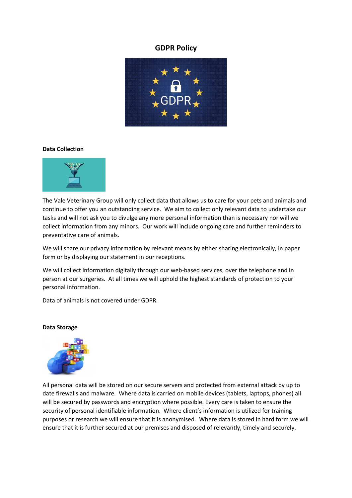# **GDPR Policy**



### **Data Collection**



The Vale Veterinary Group will only collect data that allows us to care for your pets and animals and continue to offer you an outstanding service. We aim to collect only relevant data to undertake our tasks and will not ask you to divulge any more personal information than is necessary nor will we collect information from any minors. Our work will include ongoing care and further reminders to preventative care of animals.

We will share our privacy information by relevant means by either sharing electronically, in paper form or by displaying our statement in our receptions.

We will collect information digitally through our web-based services, over the telephone and in person at our surgeries. At all times we will uphold the highest standards of protection to your personal information.

Data of animals is not covered under GDPR.



#### **Data Storage**

All personal data will be stored on our secure servers and protected from external attack by up to date firewalls and malware. Where data is carried on mobile devices (tablets, laptops, phones) all will be secured by passwords and encryption where possible. Every care is taken to ensure the security of personal identifiable information. Where client's information is utilized for training purposes or research we will ensure that it is anonymised. Where data is stored in hard form we will ensure that it is further secured at our premises and disposed of relevantly, timely and securely.